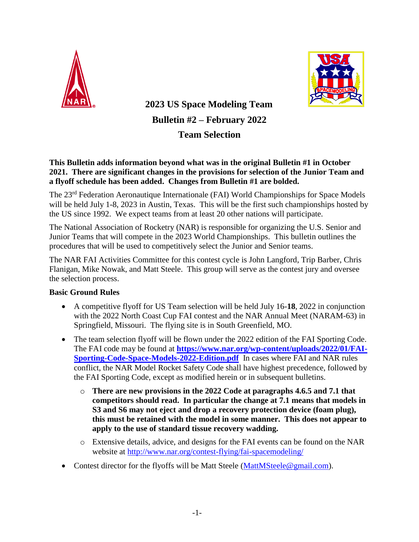



 **2023 US Space Modeling Team Bulletin #2 – February 2022 Team Selection**

# **This Bulletin adds information beyond what was in the original Bulletin #1 in October 2021. There are significant changes in the provisions for selection of the Junior Team and a flyoff schedule has been added. Changes from Bulletin #1 are bolded.**

The 23<sup>rd</sup> Federation Aeronautique Internationale (FAI) World Championships for Space Models will be held July 1-8, 2023 in Austin, Texas. This will be the first such championships hosted by the US since 1992. We expect teams from at least 20 other nations will participate.

The National Association of Rocketry (NAR) is responsible for organizing the U.S. Senior and Junior Teams that will compete in the 2023 World Championships. This bulletin outlines the procedures that will be used to competitively select the Junior and Senior teams.

The NAR FAI Activities Committee for this contest cycle is John Langford, Trip Barber, Chris Flanigan, Mike Nowak, and Matt Steele. This group will serve as the contest jury and oversee the selection process.

# **Basic Ground Rules**

- A competitive flyoff for US Team selection will be held July 16-**18**, 2022 in conjunction with the 2022 North Coast Cup FAI contest and the NAR Annual Meet (NARAM-63) in Springfield, Missouri. The flying site is in South Greenfield, MO.
- The team selection flyoff will be flown under the 2022 edition of the FAI Sporting Code. The FAI code may be found at **[https://www.nar.org/wp-content/uploads/2022/01/FAI-](https://www.nar.org/wp-content/uploads/2022/01/FAI-Sporting-Code-Space-Models-2022-Edition.pdf)[Sporting-Code-Space-Models-2022-Edition.pdf](https://www.nar.org/wp-content/uploads/2022/01/FAI-Sporting-Code-Space-Models-2022-Edition.pdf)** In cases where FAI and NAR rules conflict, the NAR Model Rocket Safety Code shall have highest precedence, followed by the FAI Sporting Code, except as modified herein or in subsequent bulletins.
	- o **There are new provisions in the 2022 Code at paragraphs 4.6.5 and 7.1 that competitors should read. In particular the change at 7.1 means that models in S3 and S6 may not eject and drop a recovery protection device (foam plug), this must be retained with the model in some manner. This does not appear to apply to the use of standard tissue recovery wadding.**
	- o Extensive details, advice, and designs for the FAI events can be found on the NAR website at<http://www.nar.org/contest-flying/fai-spacemodeling/>
- Contest director for the flyoffs will be Matt Steele [\(MattMSteele@gmail.com\)](mailto:MattMSteele@gmail.com).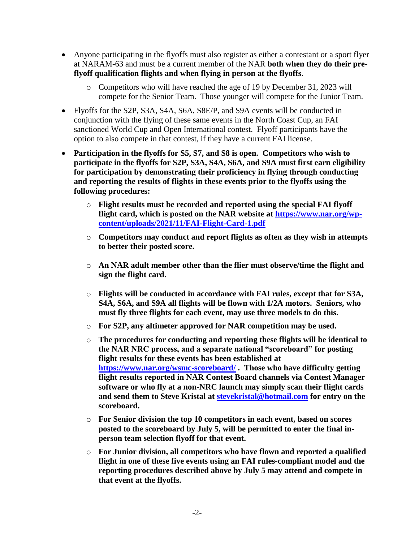- Anyone participating in the flyoffs must also register as either a contestant or a sport flyer at NARAM-63 and must be a current member of the NAR **both when they do their preflyoff qualification flights and when flying in person at the flyoffs**.
	- o Competitors who will have reached the age of 19 by December 31, 2023 will compete for the Senior Team. Those younger will compete for the Junior Team.
- Flyoffs for the S2P, S3A, S4A, S6A, S8E/P, and S9A events will be conducted in conjunction with the flying of these same events in the North Coast Cup, an FAI sanctioned World Cup and Open International contest. Flyoff participants have the option to also compete in that contest, if they have a current FAI license.
- **Participation in the flyoffs for S5, S7, and S8 is open. Competitors who wish to participate in the flyoffs for S2P, S3A, S4A, S6A, and S9A must first earn eligibility for participation by demonstrating their proficiency in flying through conducting and reporting the results of flights in these events prior to the flyoffs using the following procedures:** 
	- o **Flight results must be recorded and reported using the special FAI flyoff flight card, which is posted on the NAR website at [https://www.nar.org/wp](https://www.nar.org/wp-content/uploads/2021/11/FAI-Flight-Card-1.pdf)[content/uploads/2021/11/FAI-Flight-Card-1.pdf](https://www.nar.org/wp-content/uploads/2021/11/FAI-Flight-Card-1.pdf)**
	- o **Competitors may conduct and report flights as often as they wish in attempts to better their posted score.**
	- o **An NAR adult member other than the flier must observe/time the flight and sign the flight card.**
	- o **Flights will be conducted in accordance with FAI rules, except that for S3A, S4A, S6A, and S9A all flights will be flown with 1/2A motors. Seniors, who must fly three flights for each event, may use three models to do this.**
	- o **For S2P, any altimeter approved for NAR competition may be used.**
	- o **The procedures for conducting and reporting these flights will be identical to the NAR NRC process, and a separate national "scoreboard" for posting flight results for these events has been established at <https://www.nar.org/wsmc-scoreboard/> . Those who have difficulty getting flight results reported in NAR Contest Board channels via Contest Manager software or who fly at a non-NRC launch may simply scan their flight cards and send them to Steve Kristal at [stevekristal@hotmail.com](mailto:stevekristal@hotmail.com) for entry on the scoreboard.**
	- o **For Senior division the top 10 competitors in each event, based on scores posted to the scoreboard by July 5, will be permitted to enter the final inperson team selection flyoff for that event.**
	- o **For Junior division, all competitors who have flown and reported a qualified flight in one of these five events using an FAI rules-compliant model and the reporting procedures described above by July 5 may attend and compete in that event at the flyoffs.**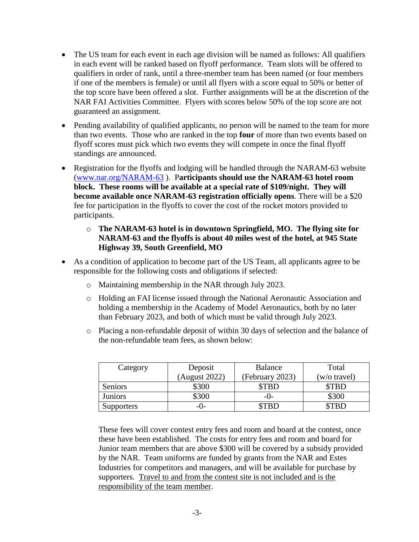- The US team for each event in each age division will be named as follows: All qualifiers in each event will be ranked based on flyoff performance. Team slots will be offered to qualifiers in order of rank, until a three-member team has been named (or four members if one of the members is female) or until all flyers with a score equal to 50% or better of the top score have been offered a slot. Further assignments will be at the discretion of the NAR FAI Activities Committee. Flyers with scores below 50% of the top score are not guaranteed an assignment.
- Pending availability of qualified applicants, no person will be named to the team for more than two events. Those who are ranked in the top **four** of more than two events based on flyoff scores must pick which two events they will compete in once the final flyoff standings are announced.
- Registration for the flyoffs and lodging will be handled through the NARAM-63 website [\(www.nar.org/NARAM-63](http://www.nar.org/NARAM-63) ). P**articipants should use the NARAM-63 hotel room block. These rooms will be available at a special rate of \$109/night. They will become available once NARAM-63 registration officially opens**. There will be a \$20 fee for participation in the flyoffs to cover the cost of the rocket motors provided to participants.

## o **The NARAM-63 hotel is in downtown Springfield, MO. The flying site for NARAM-63 and the flyoffs is about 40 miles west of the hotel, at 945 State Highway 39, South Greenfield, MO**

- As a condition of application to become part of the US Team, all applicants agree to be responsible for the following costs and obligations if selected:
	- o Maintaining membership in the NAR through July 2023.
	- o Holding an FAI license issued through the National Aeronautic Association and holding a membership in the Academy of Model Aeronautics, both by no later than February 2023, and both of which must be valid through July 2023.
	- o Placing a non-refundable deposit of within 30 days of selection and the balance of the non-refundable team fees, as shown below:

| Category          | Deposit       | Balance         | Total        |
|-------------------|---------------|-----------------|--------------|
|                   | (August 2022) | (February 2023) | (w/o travel) |
| Seniors           | \$300         | <b>STBL</b>     | <b>STBD</b>  |
| <b>Juniors</b>    | \$300         | -()-            | \$300        |
| <b>Supporters</b> | $-()$ -       | TRI.            | $T$ BD       |

These fees will cover contest entry fees and room and board at the contest, once these have been established. The costs for entry fees and room and board for Junior team members that are above \$300 will be covered by a subsidy provided by the NAR. Team uniforms are funded by grants from the NAR and Estes Industries for competitors and managers, and will be available for purchase by supporters. Travel to and from the contest site is not included and is the responsibility of the team member.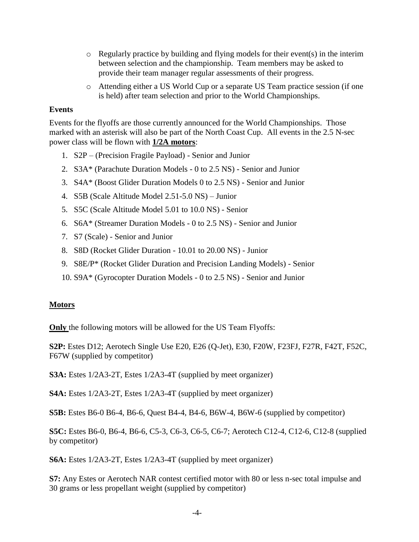- $\circ$  Regularly practice by building and flying models for their event(s) in the interim between selection and the championship. Team members may be asked to provide their team manager regular assessments of their progress.
- o Attending either a US World Cup or a separate US Team practice session (if one is held) after team selection and prior to the World Championships.

### **Events**

Events for the flyoffs are those currently announced for the World Championships. Those marked with an asterisk will also be part of the North Coast Cup. All events in the 2.5 N-sec power class will be flown with **1/2A motors**:

- 1. S2P (Precision Fragile Payload) Senior and Junior
- 2. S3A\* (Parachute Duration Models 0 to 2.5 NS) Senior and Junior
- 3. S4A\* (Boost Glider Duration Models 0 to 2.5 NS) Senior and Junior
- 4. S5B (Scale Altitude Model 2.51-5.0 NS) Junior
- 5. S5C (Scale Altitude Model 5.01 to 10.0 NS) Senior
- 6. S6A\* (Streamer Duration Models 0 to 2.5 NS) Senior and Junior
- 7. S7 (Scale) Senior and Junior
- 8. S8D (Rocket Glider Duration 10.01 to 20.00 NS) Junior
- 9. S8E/P\* (Rocket Glider Duration and Precision Landing Models) Senior
- 10. S9A\* (Gyrocopter Duration Models 0 to 2.5 NS) Senior and Junior

#### **Motors**

**Only** the following motors will be allowed for the US Team Flyoffs:

**S2P:** Estes D12; Aerotech Single Use E20, E26 (Q-Jet), E30, F20W, F23FJ, F27R, F42T, F52C, F67W (supplied by competitor)

**S3A:** Estes 1/2A3-2T, Estes 1/2A3-4T (supplied by meet organizer)

**S4A:** Estes 1/2A3-2T, Estes 1/2A3-4T (supplied by meet organizer)

**S5B:** Estes B6-0 B6-4, B6-6, Quest B4-4, B4-6, B6W-4, B6W-6 (supplied by competitor)

**S5C:** Estes B6-0, B6-4, B6-6, C5-3, C6-3, C6-5, C6-7; Aerotech C12-4, C12-6, C12-8 (supplied by competitor)

**S6A:** Estes 1/2A3-2T, Estes 1/2A3-4T (supplied by meet organizer)

**S7:** Any Estes or Aerotech NAR contest certified motor with 80 or less n-sec total impulse and 30 grams or less propellant weight (supplied by competitor)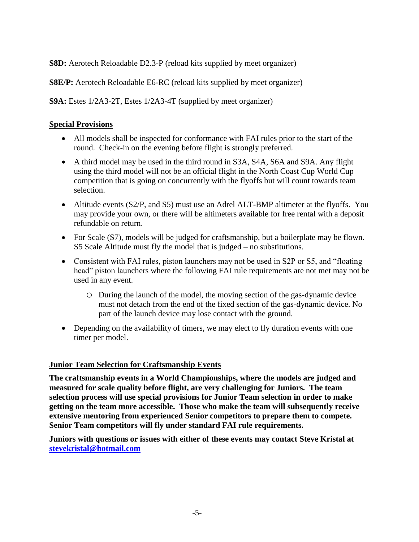**S8D:** Aerotech Reloadable D2.3-P (reload kits supplied by meet organizer)

**S8E/P:** Aerotech Reloadable E6-RC (reload kits supplied by meet organizer)

**S9A:** Estes 1/2A3-2T, Estes 1/2A3-4T (supplied by meet organizer)

## **Special Provisions**

- All models shall be inspected for conformance with FAI rules prior to the start of the round. Check-in on the evening before flight is strongly preferred.
- A third model may be used in the third round in S3A, S4A, S6A and S9A. Any flight using the third model will not be an official flight in the North Coast Cup World Cup competition that is going on concurrently with the flyoffs but will count towards team selection.
- Altitude events (S2/P, and S5) must use an Adrel ALT-BMP altimeter at the flyoffs. You may provide your own, or there will be altimeters available for free rental with a deposit refundable on return.
- For Scale (S7), models will be judged for craftsmanship, but a boilerplate may be flown. S5 Scale Altitude must fly the model that is judged – no substitutions.
- Consistent with FAI rules, piston launchers may not be used in S2P or S5, and "floating" head" piston launchers where the following FAI rule requirements are not met may not be used in any event.
	- o During the launch of the model, the moving section of the gas-dynamic device must not detach from the end of the fixed section of the gas-dynamic device. No part of the launch device may lose contact with the ground.
- Depending on the availability of timers, we may elect to fly duration events with one timer per model.

# **Junior Team Selection for Craftsmanship Events**

**The craftsmanship events in a World Championships, where the models are judged and measured for scale quality before flight, are very challenging for Juniors. The team selection process will use special provisions for Junior Team selection in order to make getting on the team more accessible. Those who make the team will subsequently receive extensive mentoring from experienced Senior competitors to prepare them to compete. Senior Team competitors will fly under standard FAI rule requirements.** 

**Juniors with questions or issues with either of these events may contact Steve Kristal at [stevekristal@hotmail.com](mailto:stevekristal@hotmail.com)**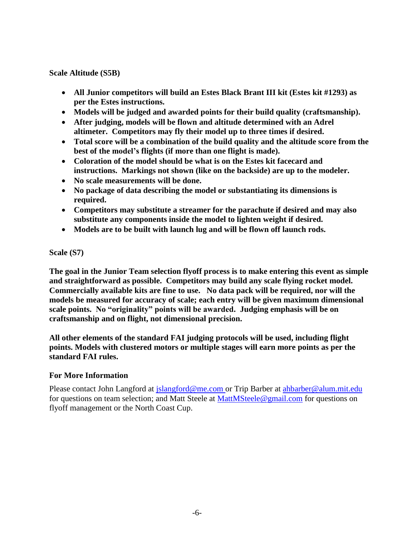**Scale Altitude (S5B)**

- **All Junior competitors will build an Estes Black Brant III kit (Estes kit #1293) as per the Estes instructions.**
- **Models will be judged and awarded points for their build quality (craftsmanship).**
- **After judging, models will be flown and altitude determined with an Adrel altimeter. Competitors may fly their model up to three times if desired.**
- **Total score will be a combination of the build quality and the altitude score from the best of the model's flights (if more than one flight is made).**
- **Coloration of the model should be what is on the Estes kit facecard and instructions. Markings not shown (like on the backside) are up to the modeler.**
- **No scale measurements will be done.**
- **No package of data describing the model or substantiating its dimensions is required.**
- **Competitors may substitute a streamer for the parachute if desired and may also substitute any components inside the model to lighten weight if desired.**
- **Models are to be built with launch lug and will be flown off launch rods.**

**Scale (S7)**

**The goal in the Junior Team selection flyoff process is to make entering this event as simple and straightforward as possible. Competitors may build any scale flying rocket model. Commercially available kits are fine to use. No data pack will be required, nor will the models be measured for accuracy of scale; each entry will be given maximum dimensional scale points. No "originality" points will be awarded. Judging emphasis will be on craftsmanship and on flight, not dimensional precision.**

**All other elements of the standard FAI judging protocols will be used, including flight points. Models with clustered motors or multiple stages will earn more points as per the standard FAI rules.**

## **For More Information**

Please contact John Langford at [jslangford@me.com](mailto:jslangford@me.com) or Trip Barber at [ahbarber@alum.mit.edu](mailto:ahbarber@alum.mit.edu) for questions on team selection; and Matt Steele at [MattMSteele@gmail.com](mailto:MattMSteele@gmail.com) for questions on flyoff management or the North Coast Cup.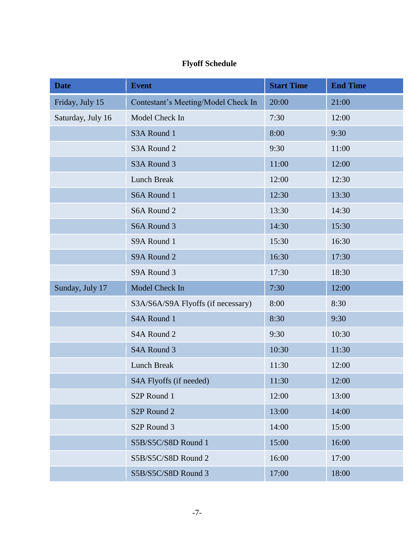# **Flyoff Schedule**

| <b>Date</b>       | <b>Event</b>                        | <b>Start Time</b> | <b>End Time</b> |
|-------------------|-------------------------------------|-------------------|-----------------|
| Friday, July 15   | Contestant's Meeting/Model Check In | 20:00             | 21:00           |
| Saturday, July 16 | Model Check In                      | 7:30              | 12:00           |
|                   | S3A Round 1                         | 8:00              | 9:30            |
|                   | S3A Round 2                         | 9:30              | 11:00           |
|                   | S3A Round 3                         | 11:00             | 12:00           |
|                   | Lunch Break                         | 12:00             | 12:30           |
|                   | S6A Round 1                         | 12:30             | 13:30           |
|                   | S6A Round 2                         | 13:30             | 14:30           |
|                   | S6A Round 3                         | 14:30             | 15:30           |
|                   | S9A Round 1                         | 15:30             | 16:30           |
|                   | S9A Round 2                         | 16:30             | 17:30           |
|                   | S9A Round 3                         | 17:30             | 18:30           |
| Sunday, July 17   | Model Check In                      | 7:30              | 12:00           |
|                   | S3A/S6A/S9A Flyoffs (if necessary)  | 8:00              | 8:30            |
|                   | S4A Round 1                         | 8:30              | 9:30            |
|                   | S4A Round 2                         | 9:30              | 10:30           |
|                   | S4A Round 3                         | 10:30             | 11:30           |
|                   | <b>Lunch Break</b>                  | 11:30             | 12:00           |
|                   | S4A Flyoffs (if needed)             | 11:30             | 12:00           |
|                   | S <sub>2</sub> P Round 1            | 12:00             | 13:00           |
|                   | S <sub>2</sub> P Round <sub>2</sub> | 13:00             | 14:00           |
|                   | S <sub>2</sub> P Round 3            | 14:00             | 15:00           |
|                   | S5B/S5C/S8D Round 1                 | 15:00             | 16:00           |
|                   | S5B/S5C/S8D Round 2                 | 16:00             | 17:00           |
|                   | S5B/S5C/S8D Round 3                 | 17:00             | 18:00           |